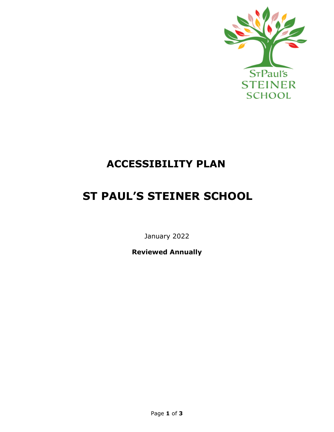

## **ACCESSIBILITY PLAN**

# **ST PAUL'S STEINER SCHOOL**

January 2022

**Reviewed Annually**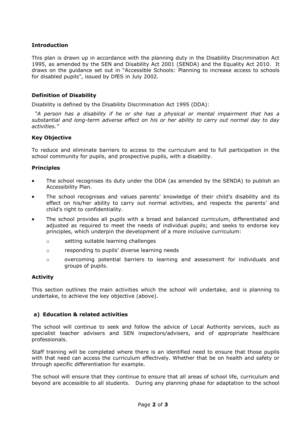### **Introduction**

This plan is drawn up in accordance with the planning duty in the Disability Discrimination Act 1995, as amended by the SEN and Disability Act 2001 (SENDA) and the Equality Act 2010. It draws on the guidance set out in "Accessible Schools: Planning to increase access to schools for disabled pupils", issued by DfES in July 2002.

### **Definition of Disability**

Disability is defined by the Disability Discrimination Act 1995 (DDA):

*"A person has a disability if he or she has a physical or mental impairment that has a substantial and long-term adverse effect on his or her ability to carry out normal day to day activities."*

#### **Key Objective**

To reduce and eliminate barriers to access to the curriculum and to full participation in the school community for pupils, and prospective pupils, with a disability.

#### **Principles**

- The school recognises its duty under the DDA (as amended by the SENDA) to publish an Accessibility Plan.
- The school recognises and values parents' knowledge of their child's disability and its effect on his/her ability to carry out normal activities, and respects the parents' and child's right to confidentiality.
- The school provides all pupils with a broad and balanced curriculum, differentiated and adjusted as required to meet the needs of individual pupils; and seeks to endorse key principles, which underpin the development of a more inclusive curriculum:
	- o setting suitable learning challenges
	- o responding to pupils' diverse learning needs
	- o overcoming potential barriers to learning and assessment for individuals and groups of pupils.

#### **Activity**

This section outlines the main activities which the school will undertake, and is planning to undertake, to achieve the key objective (above).

### **a) Education & related activities**

The school will continue to seek and follow the advice of Local Authority services, such as specialist teacher advisers and SEN inspectors/advisers, and of appropriate healthcare professionals.

Staff training will be completed where there is an identified need to ensure that those pupils with that need can access the curriculum effectively. Whether that be on health and safety or through specific differentiation for example.

The school will ensure that they continue to ensure that all areas of school life, curriculum and beyond are accessible to all students. During any planning phase for adaptation to the school